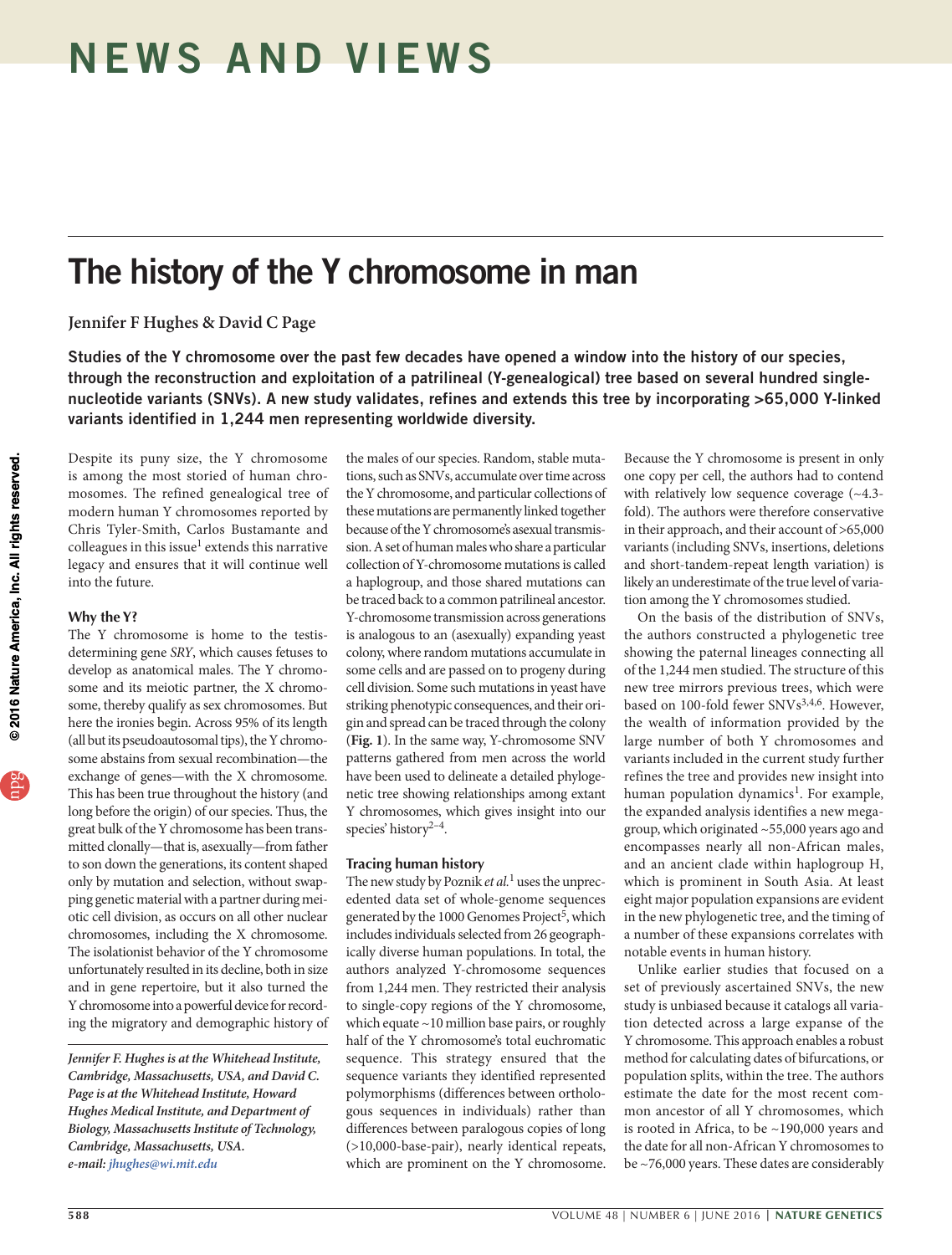# The history of the Y chromosome in man

### **Jennifer F Hughes & David C Page**

Studies of the Y chromosome over the past few decades have opened a window into the history of our species, through the reconstruction and exploitation of a patrilineal (Y-genealogical) tree based on several hundred singlenucleotide variants (SNVs). A new study validates, refines and extends this tree by incorporating >65,000 Y-linked variants identified in 1,244 men representing worldwide diversity.

Despite its puny size, the Y chromosome is among the most storied of human chromosomes. The refined genealogical tree of modern human Y chromosomes reported by Chris Tyler-Smith, Carlos Bustamante and colleagues in this issue<sup>1</sup> extends this narrative legacy and ensures that it will continue well into the future.

#### **Why the Y?**

The Y chromosome is home to the testisdetermining gene *SRY*, which causes fetuses to develop as anatomical males. The Y chromosome and its meiotic partner, the X chromosome, thereby qualify as sex chromosomes. But here the ironies begin. Across 95% of its length (all but its pseudoautosomal tips), the Y chromosome abstains from sexual recombination—the exchange of genes—with the X chromosome. This has been true throughout the history (and long before the origin) of our species. Thus, the great bulk of the Y chromosome has been transmitted clonally—that is, asexually—from father to son down the generations, its content shaped only by mutation and selection, without swapping genetic material with a partner during meiotic cell division, as occurs on all other nuclear chromosomes, including the X chromosome. The isolationist behavior of the Y chromosome unfortunately resulted in its decline, both in size and in gene repertoire, but it also turned the Y chromosome into a powerful device for recording the migratory and demographic history of

*Jennifer F. Hughes is at the Whitehead Institute, Cambridge, Massachusetts, USA, and David C. Page is at the Whitehead Institute, Howard Hughes Medical Institute, and Department of Biology, Massachusetts Institute of Technology, Cambridge, Massachusetts, USA. e-mail: [jhughes@wi.mit.edu](mailto:jhughes@wi.mit.edu)*

the males of our species. Random, stable mutations, such as SNVs, accumulate over time across the Y chromosome, and particular collections of these mutations are permanently linked together because of the Y chromosome's asexual transmission. A set of human males who share a particular collection of Y-chromosome mutations is called a haplogroup, and those shared mutations can be traced back to a common patrilineal ancestor. Y-chromosome transmission across generations is analogous to an (asexually) expanding yeast colony, where random mutations accumulate in some cells and are passed on to progeny during cell division. Some such mutations in yeast have striking phenotypic consequences, and their origin and spread can be traced through the colony (**Fig. 1**). In the same way, Y-chromosome SNV patterns gathered from men across the world have been used to delineate a detailed phylogenetic tree showing relationships among extant Y chromosomes, which gives insight into our species' history<sup>2-4</sup>.

#### **Tracing human history**

The new study by Poznik *et al.*1 uses the unprecedented data set of whole-genome sequences generated by the 1000 Genomes Project<sup>5</sup>, which includes individuals selected from 26 geographically diverse human populations. In total, the authors analyzed Y-chromosome sequences from 1,244 men. They restricted their analysis to single-copy regions of the Y chromosome, which equate ~10 million base pairs, or roughly half of the Y chromosome's total euchromatic sequence. This strategy ensured that the sequence variants they identified represented polymorphisms (differences between orthologous sequences in individuals) rather than differences between paralogous copies of long (>10,000-base-pair), nearly identical repeats, which are prominent on the Y chromosome.

Because the Y chromosome is present in only one copy per cell, the authors had to contend with relatively low sequence coverage (~4.3 fold). The authors were therefore conservative in their approach, and their account of >65,000 variants (including SNVs, insertions, deletions and short-tandem-repeat length variation) is likely an underestimate of the true level of variation among the Y chromosomes studied.

On the basis of the distribution of SNVs, the authors constructed a phylogenetic tree showing the paternal lineages connecting all of the 1,244 men studied. The structure of this new tree mirrors previous trees, which were based on 100-fold fewer SNVs3,4,6. However, the wealth of information provided by the large number of both Y chromosomes and variants included in the current study further refines the tree and provides new insight into human population dynamics<sup>1</sup>. For example, the expanded analysis identifies a new megagroup, which originated ~55,000 years ago and encompasses nearly all non-African males, and an ancient clade within haplogroup H, which is prominent in South Asia. At least eight major population expansions are evident in the new phylogenetic tree, and the timing of a number of these expansions correlates with notable events in human history.

Unlike earlier studies that focused on a set of previously ascertained SNVs, the new study is unbiased because it catalogs all variation detected across a large expanse of the Y chromosome. This approach enables a robust method for calculating dates of bifurcations, or population splits, within the tree. The authors estimate the date for the most recent common ancestor of all Y chromosomes, which is rooted in Africa, to be ~190,000 years and the date for all non-African Y chromosomes to be ~76,000 years. These dates are considerably